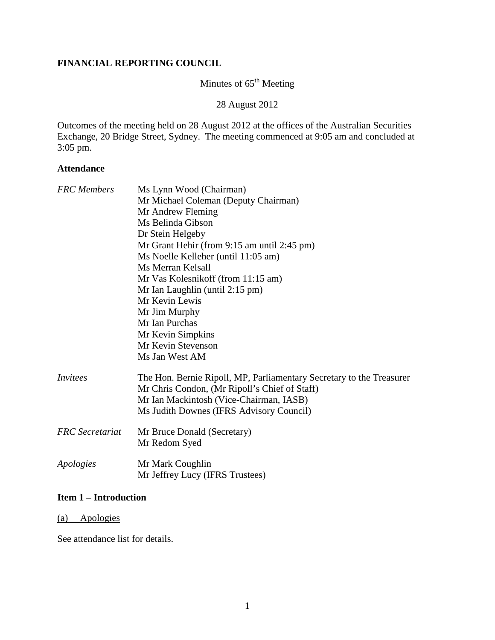#### **FINANCIAL REPORTING COUNCIL**

# Minutes of  $65^{\text{th}}$  Meeting

28 August 2012

Outcomes of the meeting held on 28 August 2012 at the offices of the Australian Securities Exchange, 20 Bridge Street, Sydney. The meeting commenced at 9:05 am and concluded at 3:05 pm.

#### **Attendance**

| <b>FRC</b> Members     | Ms Lynn Wood (Chairman)                                              |
|------------------------|----------------------------------------------------------------------|
|                        | Mr Michael Coleman (Deputy Chairman)                                 |
|                        | Mr Andrew Fleming                                                    |
|                        | Ms Belinda Gibson                                                    |
|                        | Dr Stein Helgeby                                                     |
|                        | Mr Grant Hehir (from 9:15 am until 2:45 pm)                          |
|                        | Ms Noelle Kelleher (until 11:05 am)                                  |
|                        | Ms Merran Kelsall                                                    |
|                        | Mr Vas Kolesnikoff (from 11:15 am)                                   |
|                        | Mr Ian Laughlin (until 2:15 pm)                                      |
|                        | Mr Kevin Lewis                                                       |
|                        | Mr Jim Murphy                                                        |
|                        | Mr Ian Purchas                                                       |
|                        | Mr Kevin Simpkins                                                    |
|                        | Mr Kevin Stevenson                                                   |
|                        | Ms Jan West AM                                                       |
| Invitees               | The Hon. Bernie Ripoll, MP, Parliamentary Secretary to the Treasurer |
|                        | Mr Chris Condon, (Mr Ripoll's Chief of Staff)                        |
|                        | Mr Ian Mackintosh (Vice-Chairman, IASB)                              |
|                        | Ms Judith Downes (IFRS Advisory Council)                             |
| <b>FRC</b> Secretariat | Mr Bruce Donald (Secretary)                                          |
|                        | Mr Redom Syed                                                        |
| Apologies              | Mr Mark Coughlin                                                     |
|                        | Mr Jeffrey Lucy (IFRS Trustees)                                      |

#### **Item 1 – Introduction**

# (a) Apologies

See attendance list for details.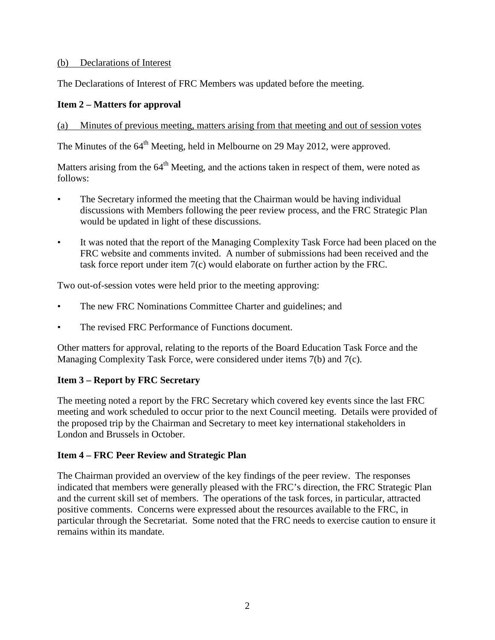#### (b) Declarations of Interest

The Declarations of Interest of FRC Members was updated before the meeting.

# **Item 2 – Matters for approval**

#### (a) Minutes of previous meeting, matters arising from that meeting and out of session votes

The Minutes of the 64<sup>th</sup> Meeting, held in Melbourne on 29 May 2012, were approved.

Matters arising from the  $64<sup>th</sup>$  Meeting, and the actions taken in respect of them, were noted as follows:

- The Secretary informed the meeting that the Chairman would be having individual discussions with Members following the peer review process, and the FRC Strategic Plan would be updated in light of these discussions.
- It was noted that the report of the Managing Complexity Task Force had been placed on the FRC website and comments invited. A number of submissions had been received and the task force report under item 7(c) would elaborate on further action by the FRC.

Two out-of-session votes were held prior to the meeting approving:

- The new FRC Nominations Committee Charter and guidelines; and
- The revised FRC Performance of Functions document.

Other matters for approval, relating to the reports of the Board Education Task Force and the Managing Complexity Task Force, were considered under items 7(b) and 7(c).

# **Item 3 – Report by FRC Secretary**

The meeting noted a report by the FRC Secretary which covered key events since the last FRC meeting and work scheduled to occur prior to the next Council meeting. Details were provided of the proposed trip by the Chairman and Secretary to meet key international stakeholders in London and Brussels in October.

# **Item 4 – FRC Peer Review and Strategic Plan**

The Chairman provided an overview of the key findings of the peer review. The responses indicated that members were generally pleased with the FRC's direction, the FRC Strategic Plan and the current skill set of members. The operations of the task forces, in particular, attracted positive comments. Concerns were expressed about the resources available to the FRC, in particular through the Secretariat. Some noted that the FRC needs to exercise caution to ensure it remains within its mandate.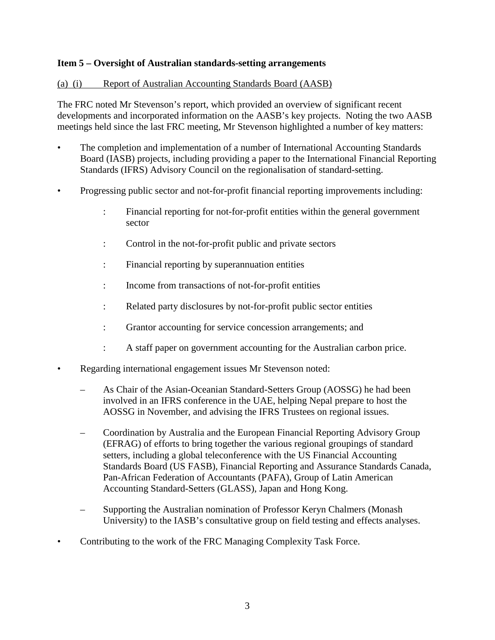# **Item 5 – Oversight of Australian standards-setting arrangements**

#### (a) (i) Report of Australian Accounting Standards Board (AASB)

The FRC noted Mr Stevenson's report, which provided an overview of significant recent developments and incorporated information on the AASB's key projects. Noting the two AASB meetings held since the last FRC meeting, Mr Stevenson highlighted a number of key matters:

- The completion and implementation of a number of International Accounting Standards Board (IASB) projects, including providing a paper to the International Financial Reporting Standards (IFRS) Advisory Council on the regionalisation of standard-setting.
- Progressing public sector and not-for-profit financial reporting improvements including:
	- : Financial reporting for not-for-profit entities within the general government sector
	- : Control in the not-for-profit public and private sectors
	- : Financial reporting by superannuation entities
	- : Income from transactions of not-for-profit entities
	- : Related party disclosures by not-for-profit public sector entities
	- : Grantor accounting for service concession arrangements; and
	- : A staff paper on government accounting for the Australian carbon price.
- Regarding international engagement issues Mr Stevenson noted:
	- As Chair of the Asian-Oceanian Standard-Setters Group (AOSSG) he had been involved in an IFRS conference in the UAE, helping Nepal prepare to host the AOSSG in November, and advising the IFRS Trustees on regional issues.
	- Coordination by Australia and the European Financial Reporting Advisory Group (EFRAG) of efforts to bring together the various regional groupings of standard setters, including a global teleconference with the US Financial Accounting Standards Board (US FASB), Financial Reporting and Assurance Standards Canada, Pan-African Federation of Accountants (PAFA), Group of Latin American Accounting Standard-Setters (GLASS), Japan and Hong Kong.
	- Supporting the Australian nomination of Professor Keryn Chalmers (Monash University) to the IASB's consultative group on field testing and effects analyses.
- Contributing to the work of the FRC Managing Complexity Task Force.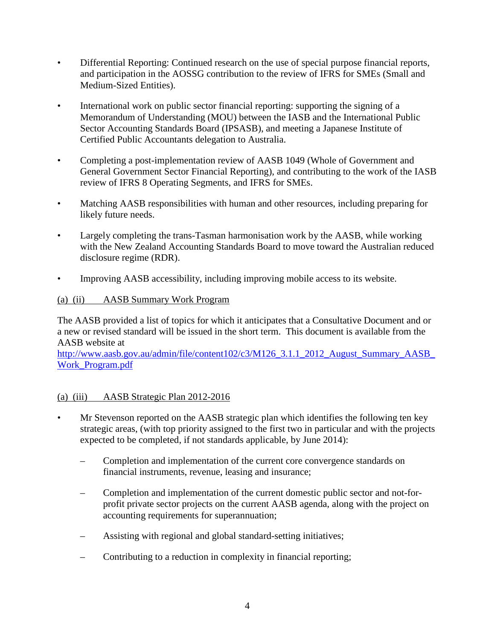- Differential Reporting: Continued research on the use of special purpose financial reports, and participation in the AOSSG contribution to the review of IFRS for SMEs (Small and Medium-Sized Entities).
- International work on public sector financial reporting: supporting the signing of a Memorandum of Understanding (MOU) between the IASB and the International Public Sector Accounting Standards Board (IPSASB), and meeting a Japanese Institute of Certified Public Accountants delegation to Australia.
- Completing a post-implementation review of AASB 1049 (Whole of Government and General Government Sector Financial Reporting), and contributing to the work of the IASB review of IFRS 8 Operating Segments, and IFRS for SMEs.
- Matching AASB responsibilities with human and other resources, including preparing for likely future needs.
- Largely completing the trans-Tasman harmonisation work by the AASB, while working with the New Zealand Accounting Standards Board to move toward the Australian reduced disclosure regime (RDR).
- Improving AASB accessibility, including improving mobile access to its website.

#### (a) (ii) AASB Summary Work Program

The AASB provided a list of topics for which it anticipates that a Consultative Document and or a new or revised standard will be issued in the short term. This document is available from the AASB website at

http://www.aasb.gov.au/admin/file/content102/c3/M126\_3.1.1\_2012\_August\_Summary\_AASB [Work\\_Program.pdf](http://www.aasb.gov.au/admin/file/content102/c3/M126_3.1.1_2012_August_Summary_AASB_Work_Program.pdf)

#### (a) (iii) AASB Strategic Plan 2012-2016

- Mr Stevenson reported on the AASB strategic plan which identifies the following ten key strategic areas, (with top priority assigned to the first two in particular and with the projects expected to be completed, if not standards applicable, by June 2014):
	- Completion and implementation of the current core convergence standards on financial instruments, revenue, leasing and insurance;
	- Completion and implementation of the current domestic public sector and not-forprofit private sector projects on the current AASB agenda, along with the project on accounting requirements for superannuation;
	- Assisting with regional and global standard-setting initiatives;
	- Contributing to a reduction in complexity in financial reporting;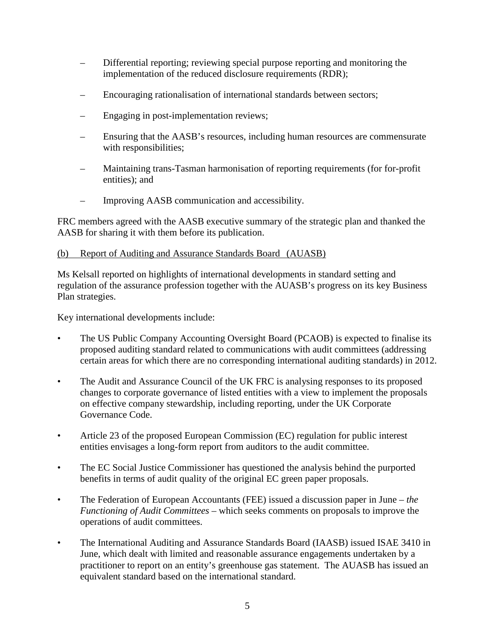- Differential reporting; reviewing special purpose reporting and monitoring the implementation of the reduced disclosure requirements (RDR);
- Encouraging rationalisation of international standards between sectors;
- Engaging in post-implementation reviews;
- Ensuring that the AASB's resources, including human resources are commensurate with responsibilities;
- Maintaining trans-Tasman harmonisation of reporting requirements (for for-profit entities); and
- Improving AASB communication and accessibility.

FRC members agreed with the AASB executive summary of the strategic plan and thanked the AASB for sharing it with them before its publication.

# (b) Report of Auditing and Assurance Standards Board (AUASB)

Ms Kelsall reported on highlights of international developments in standard setting and regulation of the assurance profession together with the AUASB's progress on its key Business Plan strategies.

Key international developments include:

- The US Public Company Accounting Oversight Board (PCAOB) is expected to finalise its proposed auditing standard related to communications with audit committees (addressing certain areas for which there are no corresponding international auditing standards) in 2012.
- The Audit and Assurance Council of the UK FRC is analysing responses to its proposed changes to corporate governance of listed entities with a view to implement the proposals on effective company stewardship, including reporting, under the UK Corporate Governance Code.
- Article 23 of the proposed European Commission (EC) regulation for public interest entities envisages a long-form report from auditors to the audit committee.
- The EC Social Justice Commissioner has questioned the analysis behind the purported benefits in terms of audit quality of the original EC green paper proposals.
- The Federation of European Accountants (FEE) issued a discussion paper in June *the Functioning of Audit Committees* – which seeks comments on proposals to improve the operations of audit committees.
- The International Auditing and Assurance Standards Board (IAASB) issued ISAE 3410 in June, which dealt with limited and reasonable assurance engagements undertaken by a practitioner to report on an entity's greenhouse gas statement. The AUASB has issued an equivalent standard based on the international standard.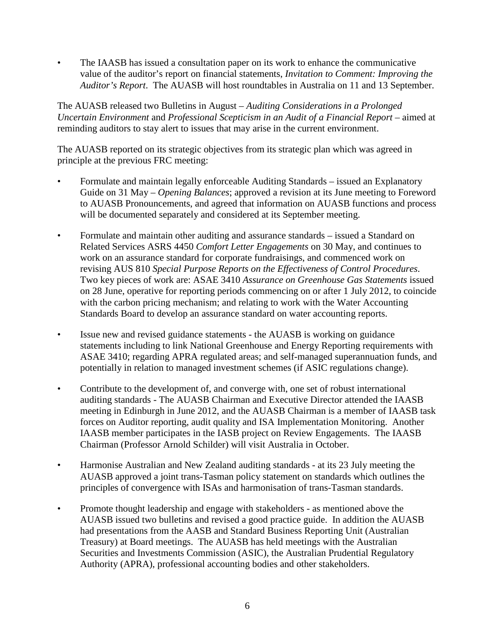• The IAASB has issued a consultation paper on its work to enhance the communicative value of the auditor's report on financial statements, *Invitation to Comment: Improving the Auditor's Report*. The AUASB will host roundtables in Australia on 11 and 13 September.

The AUASB released two Bulletins in August – *Auditing Considerations in a Prolonged Uncertain Environment* and *Professional Scepticism in an Audit of a Financial Report* – aimed at reminding auditors to stay alert to issues that may arise in the current environment.

The AUASB reported on its strategic objectives from its strategic plan which was agreed in principle at the previous FRC meeting:

- Formulate and maintain legally enforceable Auditing Standards issued an Explanatory Guide on 31 May – *Opening Balances*; approved a revision at its June meeting to Foreword to AUASB Pronouncements, and agreed that information on AUASB functions and process will be documented separately and considered at its September meeting.
- Formulate and maintain other auditing and assurance standards issued a Standard on Related Services ASRS 4450 *Comfort Letter Engagements* on 30 May, and continues to work on an assurance standard for corporate fundraisings, and commenced work on revising AUS 810 *Special Purpose Reports on the Effectiveness of Control Procedures*. Two key pieces of work are: ASAE 3410 *Assurance on Greenhouse Gas Statements* issued on 28 June, operative for reporting periods commencing on or after 1 July 2012, to coincide with the carbon pricing mechanism; and relating to work with the Water Accounting Standards Board to develop an assurance standard on water accounting reports.
- Issue new and revised guidance statements the AUASB is working on guidance statements including to link National Greenhouse and Energy Reporting requirements with ASAE 3410; regarding APRA regulated areas; and self-managed superannuation funds, and potentially in relation to managed investment schemes (if ASIC regulations change).
- Contribute to the development of, and converge with, one set of robust international auditing standards - The AUASB Chairman and Executive Director attended the IAASB meeting in Edinburgh in June 2012, and the AUASB Chairman is a member of IAASB task forces on Auditor reporting, audit quality and ISA Implementation Monitoring. Another IAASB member participates in the IASB project on Review Engagements. The IAASB Chairman (Professor Arnold Schilder) will visit Australia in October.
- Harmonise Australian and New Zealand auditing standards at its 23 July meeting the AUASB approved a joint trans-Tasman policy statement on standards which outlines the principles of convergence with ISAs and harmonisation of trans-Tasman standards.
- Promote thought leadership and engage with stakeholders as mentioned above the AUASB issued two bulletins and revised a good practice guide. In addition the AUASB had presentations from the AASB and Standard Business Reporting Unit (Australian Treasury) at Board meetings. The AUASB has held meetings with the Australian Securities and Investments Commission (ASIC), the Australian Prudential Regulatory Authority (APRA), professional accounting bodies and other stakeholders.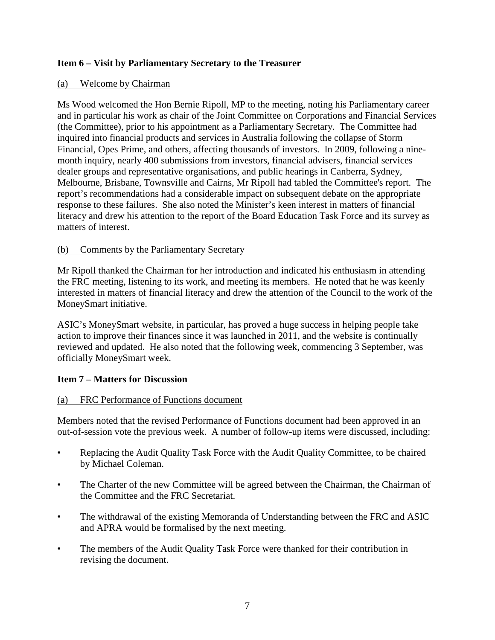# **Item 6 – Visit by Parliamentary Secretary to the Treasurer**

#### (a) Welcome by Chairman

Ms Wood welcomed the Hon Bernie Ripoll, MP to the meeting, noting his Parliamentary career and in particular his work as chair of the Joint Committee on Corporations and Financial Services (the Committee), prior to his appointment as a Parliamentary Secretary. The Committee had inquired into financial products and services in Australia following the collapse of Storm Financial, Opes Prime, and others, affecting thousands of investors. In 2009, following a ninemonth inquiry, nearly 400 submissions from investors, financial advisers, financial services dealer groups and representative organisations, and public hearings in Canberra, Sydney, Melbourne, Brisbane, Townsville and Cairns, Mr Ripoll had tabled the Committee's report. The report's recommendations had a considerable impact on subsequent debate on the appropriate response to these failures. She also noted the Minister's keen interest in matters of financial literacy and drew his attention to the report of the Board Education Task Force and its survey as matters of interest.

#### (b) Comments by the Parliamentary Secretary

Mr Ripoll thanked the Chairman for her introduction and indicated his enthusiasm in attending the FRC meeting, listening to its work, and meeting its members. He noted that he was keenly interested in matters of financial literacy and drew the attention of the Council to the work of the MoneySmart initiative.

ASIC's MoneySmart website, in particular, has proved a huge success in helping people take action to improve their finances since it was launched in 2011, and the website is continually reviewed and updated. He also noted that the following week, commencing 3 September, was officially MoneySmart week.

# **Item 7 – Matters for Discussion**

#### (a) FRC Performance of Functions document

Members noted that the revised Performance of Functions document had been approved in an out-of-session vote the previous week. A number of follow-up items were discussed, including:

- Replacing the Audit Quality Task Force with the Audit Quality Committee, to be chaired by Michael Coleman.
- The Charter of the new Committee will be agreed between the Chairman, the Chairman of the Committee and the FRC Secretariat.
- The withdrawal of the existing Memoranda of Understanding between the FRC and ASIC and APRA would be formalised by the next meeting.
- The members of the Audit Quality Task Force were thanked for their contribution in revising the document.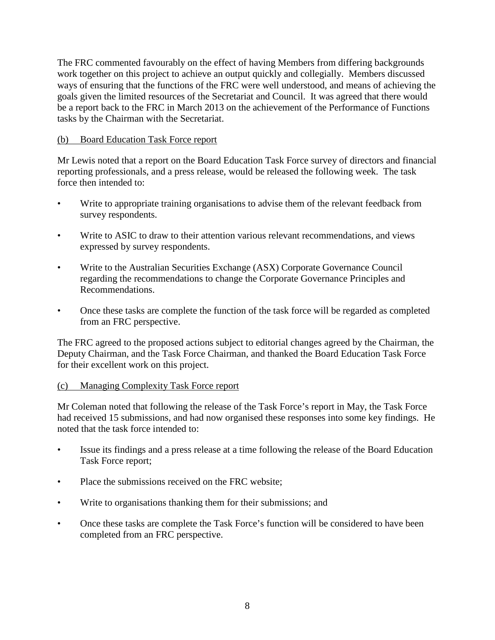The FRC commented favourably on the effect of having Members from differing backgrounds work together on this project to achieve an output quickly and collegially. Members discussed ways of ensuring that the functions of the FRC were well understood, and means of achieving the goals given the limited resources of the Secretariat and Council. It was agreed that there would be a report back to the FRC in March 2013 on the achievement of the Performance of Functions tasks by the Chairman with the Secretariat.

# (b) Board Education Task Force report

Mr Lewis noted that a report on the Board Education Task Force survey of directors and financial reporting professionals, and a press release, would be released the following week. The task force then intended to:

- Write to appropriate training organisations to advise them of the relevant feedback from survey respondents.
- Write to ASIC to draw to their attention various relevant recommendations, and views expressed by survey respondents.
- Write to the Australian Securities Exchange (ASX) Corporate Governance Council regarding the recommendations to change the Corporate Governance Principles and Recommendations.
- Once these tasks are complete the function of the task force will be regarded as completed from an FRC perspective.

The FRC agreed to the proposed actions subject to editorial changes agreed by the Chairman, the Deputy Chairman, and the Task Force Chairman, and thanked the Board Education Task Force for their excellent work on this project.

# (c) Managing Complexity Task Force report

Mr Coleman noted that following the release of the Task Force's report in May, the Task Force had received 15 submissions, and had now organised these responses into some key findings. He noted that the task force intended to:

- Issue its findings and a press release at a time following the release of the Board Education Task Force report;
- Place the submissions received on the FRC website:
- Write to organisations thanking them for their submissions; and
- Once these tasks are complete the Task Force's function will be considered to have been completed from an FRC perspective.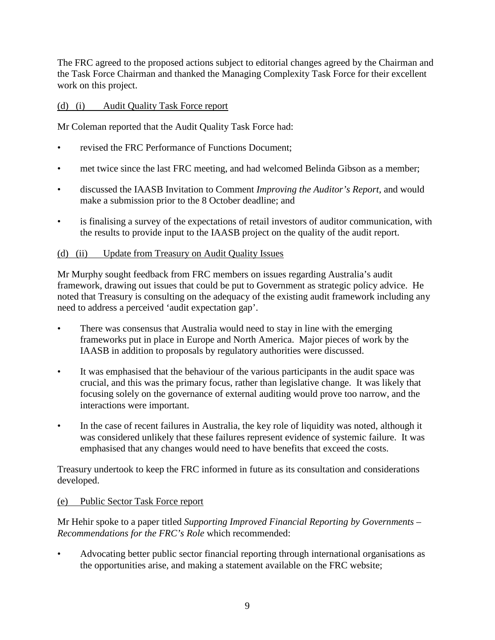The FRC agreed to the proposed actions subject to editorial changes agreed by the Chairman and the Task Force Chairman and thanked the Managing Complexity Task Force for their excellent work on this project.

# (d) (i) Audit Quality Task Force report

Mr Coleman reported that the Audit Quality Task Force had:

- revised the FRC Performance of Functions Document:
- met twice since the last FRC meeting, and had welcomed Belinda Gibson as a member;
- discussed the IAASB Invitation to Comment *Improving the Auditor's Report*, and would make a submission prior to the 8 October deadline; and
- is finalising a survey of the expectations of retail investors of auditor communication, with the results to provide input to the IAASB project on the quality of the audit report.

# (d) (ii) Update from Treasury on Audit Quality Issues

Mr Murphy sought feedback from FRC members on issues regarding Australia's audit framework, drawing out issues that could be put to Government as strategic policy advice. He noted that Treasury is consulting on the adequacy of the existing audit framework including any need to address a perceived 'audit expectation gap'.

- There was consensus that Australia would need to stay in line with the emerging frameworks put in place in Europe and North America. Major pieces of work by the IAASB in addition to proposals by regulatory authorities were discussed.
- It was emphasised that the behaviour of the various participants in the audit space was crucial, and this was the primary focus, rather than legislative change. It was likely that focusing solely on the governance of external auditing would prove too narrow, and the interactions were important.
- In the case of recent failures in Australia, the key role of liquidity was noted, although it was considered unlikely that these failures represent evidence of systemic failure. It was emphasised that any changes would need to have benefits that exceed the costs.

Treasury undertook to keep the FRC informed in future as its consultation and considerations developed.

# (e) Public Sector Task Force report

Mr Hehir spoke to a paper titled *Supporting Improved Financial Reporting by Governments – Recommendations for the FRC's Role* which recommended:

• Advocating better public sector financial reporting through international organisations as the opportunities arise, and making a statement available on the FRC website;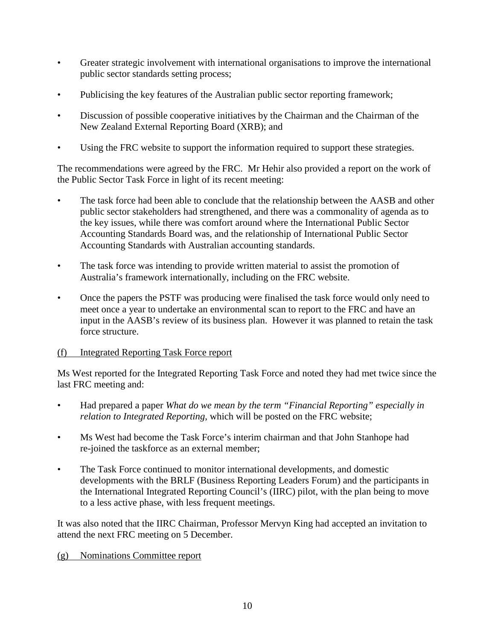- Greater strategic involvement with international organisations to improve the international public sector standards setting process;
- Publicising the key features of the Australian public sector reporting framework;
- Discussion of possible cooperative initiatives by the Chairman and the Chairman of the New Zealand External Reporting Board (XRB); and
- Using the FRC website to support the information required to support these strategies.

The recommendations were agreed by the FRC. Mr Hehir also provided a report on the work of the Public Sector Task Force in light of its recent meeting:

- The task force had been able to conclude that the relationship between the AASB and other public sector stakeholders had strengthened, and there was a commonality of agenda as to the key issues, while there was comfort around where the International Public Sector Accounting Standards Board was, and the relationship of International Public Sector Accounting Standards with Australian accounting standards.
- The task force was intending to provide written material to assist the promotion of Australia's framework internationally, including on the FRC website.
- Once the papers the PSTF was producing were finalised the task force would only need to meet once a year to undertake an environmental scan to report to the FRC and have an input in the AASB's review of its business plan. However it was planned to retain the task force structure.

# (f) Integrated Reporting Task Force report

Ms West reported for the Integrated Reporting Task Force and noted they had met twice since the last FRC meeting and:

- Had prepared a paper *What do we mean by the term "Financial Reporting" especially in relation to Integrated Reporting*, which will be posted on the FRC website;
- Ms West had become the Task Force's interim chairman and that John Stanhope had re-joined the taskforce as an external member;
- The Task Force continued to monitor international developments, and domestic developments with the BRLF (Business Reporting Leaders Forum) and the participants in the International Integrated Reporting Council's (IIRC) pilot, with the plan being to move to a less active phase, with less frequent meetings.

It was also noted that the IIRC Chairman, Professor Mervyn King had accepted an invitation to attend the next FRC meeting on 5 December.

# (g) Nominations Committee report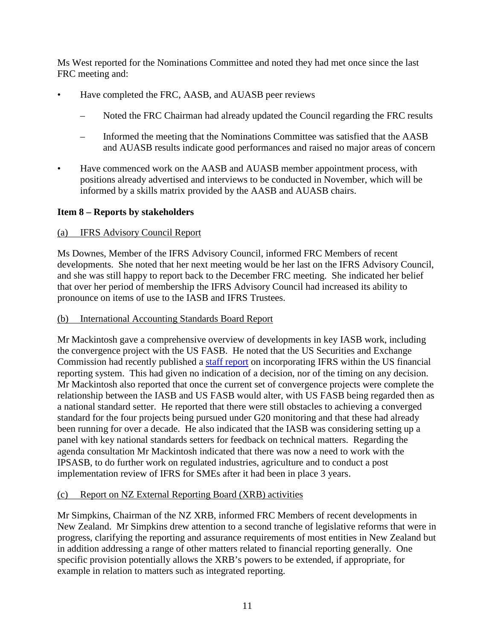Ms West reported for the Nominations Committee and noted they had met once since the last FRC meeting and:

- Have completed the FRC, AASB, and AUASB peer reviews
	- Noted the FRC Chairman had already updated the Council regarding the FRC results
	- Informed the meeting that the Nominations Committee was satisfied that the AASB and AUASB results indicate good performances and raised no major areas of concern
- Have commenced work on the AASB and AUASB member appointment process, with positions already advertised and interviews to be conducted in November, which will be informed by a skills matrix provided by the AASB and AUASB chairs.

# **Item 8 – Reports by stakeholders**

#### (a) IFRS Advisory Council Report

Ms Downes, Member of the IFRS Advisory Council, informed FRC Members of recent developments. She noted that her next meeting would be her last on the IFRS Advisory Council, and she was still happy to report back to the December FRC meeting. She indicated her belief that over her period of membership the IFRS Advisory Council had increased its ability to pronounce on items of use to the IASB and IFRS Trustees.

#### (b) International Accounting Standards Board Report

Mr Mackintosh gave a comprehensive overview of developments in key IASB work, including the convergence project with the US FASB. He noted that the US Securities and Exchange Commission had recently published a [staff report](http://www.sec.gov/spotlight/globalaccountingstandards/ifrs-work-plan-final-report.pdf) on incorporating IFRS within the US financial reporting system. This had given no indication of a decision, nor of the timing on any decision. Mr Mackintosh also reported that once the current set of convergence projects were complete the relationship between the IASB and US FASB would alter, with US FASB being regarded then as a national standard setter. He reported that there were still obstacles to achieving a converged standard for the four projects being pursued under G20 monitoring and that these had already been running for over a decade. He also indicated that the IASB was considering setting up a panel with key national standards setters for feedback on technical matters. Regarding the agenda consultation Mr Mackintosh indicated that there was now a need to work with the IPSASB, to do further work on regulated industries, agriculture and to conduct a post implementation review of IFRS for SMEs after it had been in place 3 years.

# (c) Report on NZ External Reporting Board (XRB) activities

Mr Simpkins, Chairman of the NZ XRB, informed FRC Members of recent developments in New Zealand. Mr Simpkins drew attention to a second tranche of legislative reforms that were in progress, clarifying the reporting and assurance requirements of most entities in New Zealand but in addition addressing a range of other matters related to financial reporting generally. One specific provision potentially allows the XRB's powers to be extended, if appropriate, for example in relation to matters such as integrated reporting.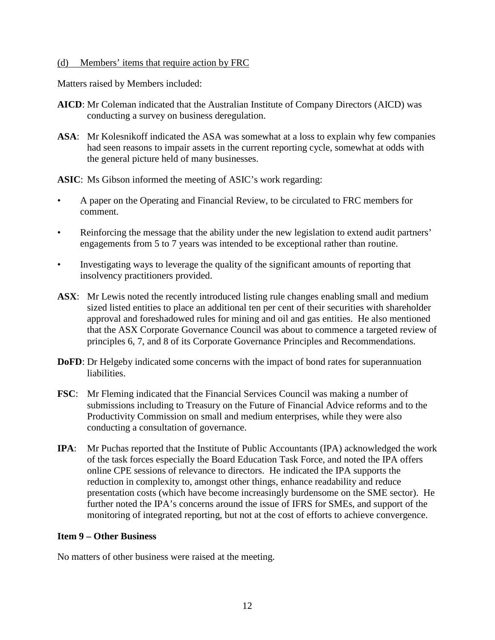#### (d) Members' items that require action by FRC

Matters raised by Members included:

- **AICD**: Mr Coleman indicated that the Australian Institute of Company Directors (AICD) was conducting a survey on business deregulation.
- **ASA**: Mr Kolesnikoff indicated the ASA was somewhat at a loss to explain why few companies had seen reasons to impair assets in the current reporting cycle, somewhat at odds with the general picture held of many businesses.

**ASIC**: Ms Gibson informed the meeting of ASIC's work regarding:

- A paper on the Operating and Financial Review, to be circulated to FRC members for comment.
- Reinforcing the message that the ability under the new legislation to extend audit partners' engagements from 5 to 7 years was intended to be exceptional rather than routine.
- Investigating ways to leverage the quality of the significant amounts of reporting that insolvency practitioners provided.
- **ASX**: Mr Lewis noted the recently introduced listing rule changes enabling small and medium sized listed entities to place an additional ten per cent of their securities with shareholder approval and foreshadowed rules for mining and oil and gas entities. He also mentioned that the ASX Corporate Governance Council was about to commence a targeted review of principles 6, 7, and 8 of its Corporate Governance Principles and Recommendations.
- **DoFD**: Dr Helgeby indicated some concerns with the impact of bond rates for superannuation liabilities.
- **FSC**: Mr Fleming indicated that the Financial Services Council was making a number of submissions including to Treasury on the Future of Financial Advice reforms and to the Productivity Commission on small and medium enterprises, while they were also conducting a consultation of governance.
- **IPA**: Mr Puchas reported that the Institute of Public Accountants (IPA) acknowledged the work of the task forces especially the Board Education Task Force, and noted the IPA offers online CPE sessions of relevance to directors. He indicated the IPA supports the reduction in complexity to, amongst other things, enhance readability and reduce presentation costs (which have become increasingly burdensome on the SME sector). He further noted the IPA's concerns around the issue of IFRS for SMEs, and support of the monitoring of integrated reporting, but not at the cost of efforts to achieve convergence.

#### **Item 9 – Other Business**

No matters of other business were raised at the meeting.